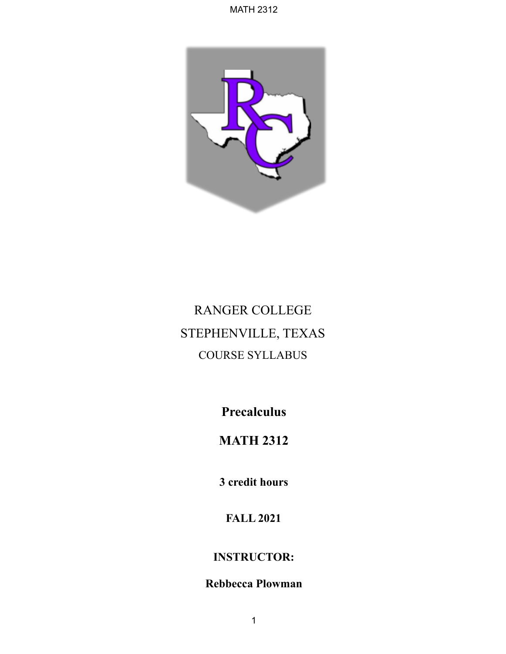

# RANGER COLLEGE STEPHENVILLE, TEXAS COURSE SYLLABUS

**Precalculus**

# **MATH 2312**

**3 credit hours**

**FALL 2021**

### **INSTRUCTOR:**

## **Rebbecca Plowman**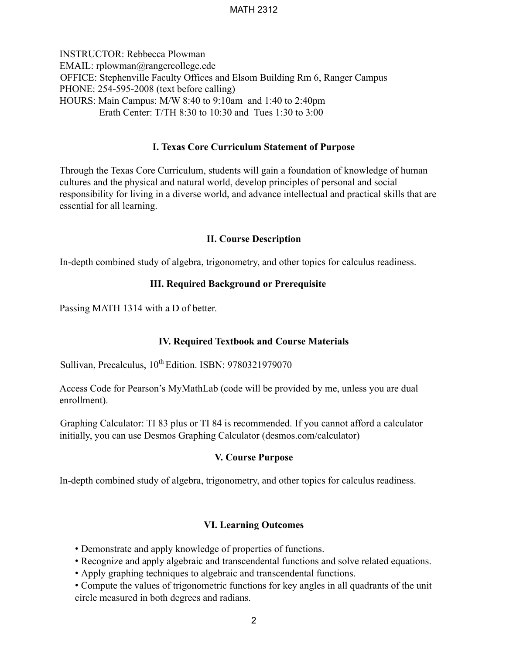INSTRUCTOR: Rebbecca Plowman EMAIL: rplowman@rangercollege.ede OFFICE: Stephenville Faculty Offices and Elsom Building Rm 6, Ranger Campus PHONE: 254-595-2008 (text before calling) HOURS: Main Campus: M/W 8:40 to 9:10am and 1:40 to 2:40pm Erath Center: T/TH 8:30 to 10:30 and Tues 1:30 to 3:00

#### **I. Texas Core Curriculum Statement of Purpose**

Through the Texas Core Curriculum, students will gain a foundation of knowledge of human cultures and the physical and natural world, develop principles of personal and social responsibility for living in a diverse world, and advance intellectual and practical skills that are essential for all learning.

#### **II. Course Description**

In-depth combined study of algebra, trigonometry, and other topics for calculus readiness.

#### **III. Required Background or Prerequisite**

Passing MATH 1314 with a D of better.

#### **IV. Required Textbook and Course Materials**

Sullivan, Precalculus,  $10^{th}$  Edition. ISBN: 9780321979070

Access Code for Pearson's MyMathLab (code will be provided by me, unless you are dual enrollment).

Graphing Calculator: TI 83 plus or TI 84 is recommended. If you cannot afford a calculator initially, you can use Desmos Graphing Calculator (desmos.com/calculator)

#### **V. Course Purpose**

In-depth combined study of algebra, trigonometry, and other topics for calculus readiness.

#### **VI. Learning Outcomes**

- Demonstrate and apply knowledge of properties of functions.
- Recognize and apply algebraic and transcendental functions and solve related equations.
- Apply graphing techniques to algebraic and transcendental functions.
- Compute the values of trigonometric functions for key angles in all quadrants of the unit circle measured in both degrees and radians.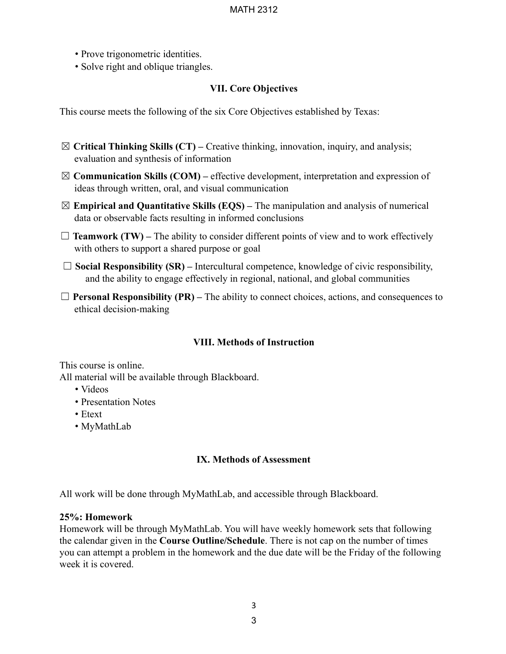- Prove trigonometric identities.
- Solve right and oblique triangles.

#### **VII. Core Objectives**

This course meets the following of the six Core Objectives established by Texas:

- ☒ **Critical Thinking Skills (CT) –** Creative thinking, innovation, inquiry, and analysis; evaluation and synthesis of information
- ☒ **Communication Skills (COM) –** effective development, interpretation and expression of ideas through written, oral, and visual communication
- ☒ **Empirical and Quantitative Skills (EQS) –** The manipulation and analysis of numerical data or observable facts resulting in informed conclusions
- $\Box$  **Teamwork (TW)** The ability to consider different points of view and to work effectively with others to support a shared purpose or goal
- ☐ **Social Responsibility (SR) –** Intercultural competence, knowledge of civic responsibility, and the ability to engage effectively in regional, national, and global communities
- $\Box$  **Personal Responsibility (PR)** The ability to connect choices, actions, and consequences to ethical decision-making

#### **VIII. Methods of Instruction**

This course is online. All material will be available through Blackboard.

- Videos
- Presentation Notes
- Etext
- MyMathLab

#### **IX. Methods of Assessment**

All work will be done through MyMathLab, and accessible through Blackboard.

#### **25%: Homework**

Homework will be through MyMathLab. You will have weekly homework sets that following the calendar given in the **Course Outline/Schedule**. There is not cap on the number of times you can attempt a problem in the homework and the due date will be the Friday of the following week it is covered.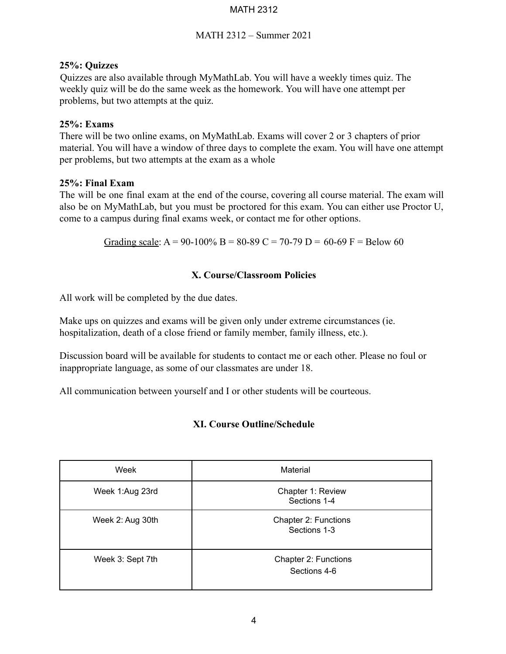#### MATH 2312 – Summer 2021

#### **25%: Quizzes**

Quizzes are also available through MyMathLab. You will have a weekly times quiz. The weekly quiz will be do the same week as the homework. You will have one attempt per problems, but two attempts at the quiz.

#### **25%: Exams**

There will be two online exams, on MyMathLab. Exams will cover 2 or 3 chapters of prior material. You will have a window of three days to complete the exam. You will have one attempt per problems, but two attempts at the exam as a whole

#### **25%: Final Exam**

The will be one final exam at the end of the course, covering all course material. The exam will also be on MyMathLab, but you must be proctored for this exam. You can either use Proctor U, come to a campus during final exams week, or contact me for other options.

Grading scale: A = 90-100% B = 80-89 C = 70-79 D = 60-69 F = Below 60

#### **X. Course/Classroom Policies**

All work will be completed by the due dates.

Make ups on quizzes and exams will be given only under extreme circumstances (ie. hospitalization, death of a close friend or family member, family illness, etc.).

Discussion board will be available for students to contact me or each other. Please no foul or inappropriate language, as some of our classmates are under 18.

All communication between yourself and I or other students will be courteous.

#### **XI. Course Outline/Schedule**

| Week             | Material                             |
|------------------|--------------------------------------|
| Week 1:Aug 23rd  | Chapter 1: Review<br>Sections 1-4    |
| Week 2: Aug 30th | Chapter 2: Functions<br>Sections 1-3 |
| Week 3: Sept 7th | Chapter 2: Functions<br>Sections 4-6 |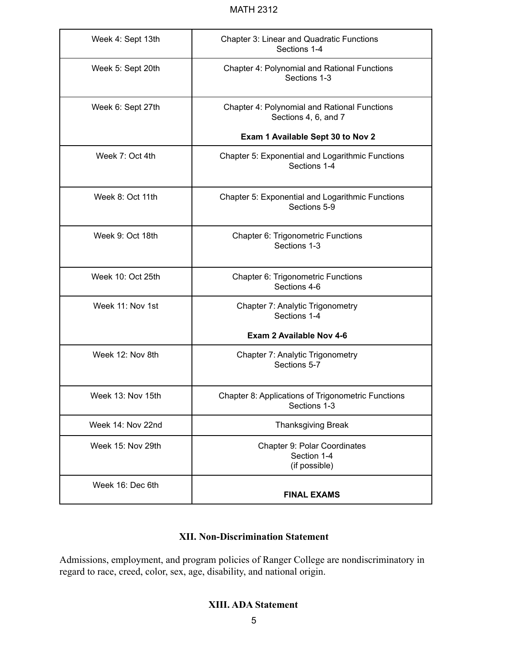| Week 4: Sept 13th | <b>Chapter 3: Linear and Quadratic Functions</b><br>Sections 1-4            |
|-------------------|-----------------------------------------------------------------------------|
| Week 5: Sept 20th | <b>Chapter 4: Polynomial and Rational Functions</b><br>Sections 1-3         |
| Week 6: Sept 27th | <b>Chapter 4: Polynomial and Rational Functions</b><br>Sections 4, 6, and 7 |
|                   | Exam 1 Available Sept 30 to Nov 2                                           |
| Week 7: Oct 4th   | Chapter 5: Exponential and Logarithmic Functions<br>Sections 1-4            |
| Week 8: Oct 11th  | Chapter 5: Exponential and Logarithmic Functions<br>Sections 5-9            |
| Week 9: Oct 18th  | Chapter 6: Trigonometric Functions<br>Sections 1-3                          |
| Week 10: Oct 25th | Chapter 6: Trigonometric Functions<br>Sections 4-6                          |
| Week 11: Nov 1st  | Chapter 7: Analytic Trigonometry<br>Sections 1-4                            |
|                   | Exam 2 Available Nov 4-6                                                    |
| Week 12: Nov 8th  | Chapter 7: Analytic Trigonometry<br>Sections 5-7                            |
| Week 13: Nov 15th | Chapter 8: Applications of Trigonometric Functions<br>Sections 1-3          |
| Week 14: Nov 22nd | <b>Thanksgiving Break</b>                                                   |
| Week 15: Nov 29th | Chapter 9: Polar Coordinates<br>Section 1-4<br>(if possible)                |
| Week 16: Dec 6th  | <b>FINAL EXAMS</b>                                                          |

#### **XII. Non-Discrimination Statement**

Admissions, employment, and program policies of Ranger College are nondiscriminatory in regard to race, creed, color, sex, age, disability, and national origin.

#### **XIII. ADA Statement**